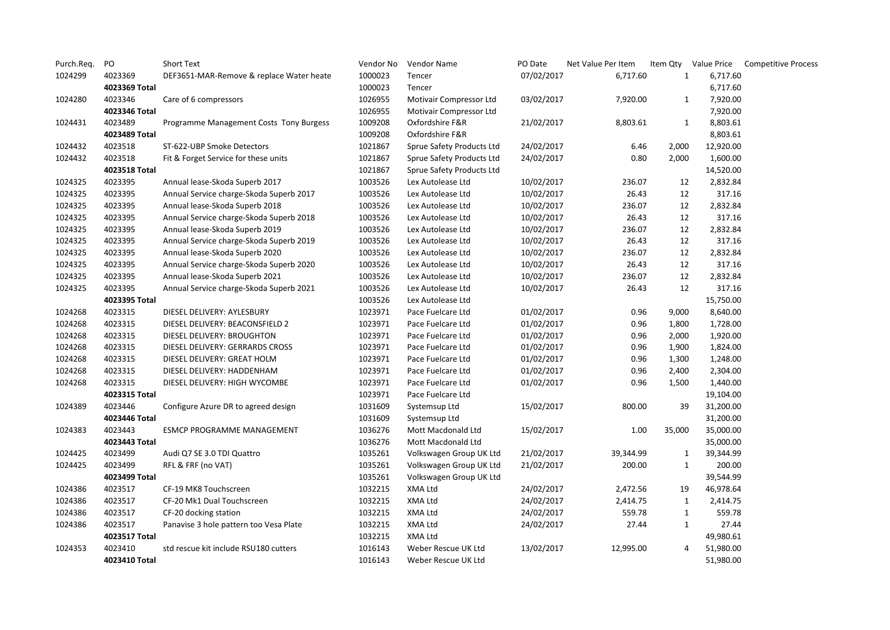| Purch.Req. | PO            | Short Text                               | Vendor No | Vendor Name               | PO Date    | Net Value Per Item |              |           | Item Qty Value Price Competitive Process |
|------------|---------------|------------------------------------------|-----------|---------------------------|------------|--------------------|--------------|-----------|------------------------------------------|
| 1024299    | 4023369       | DEF3651-MAR-Remove & replace Water heate | 1000023   | Tencer                    | 07/02/2017 | 6,717.60           | $\mathbf{1}$ | 6,717.60  |                                          |
|            | 4023369 Total |                                          | 1000023   | Tencer                    |            |                    |              | 6,717.60  |                                          |
| 1024280    | 4023346       | Care of 6 compressors                    | 1026955   | Motivair Compressor Ltd   | 03/02/2017 | 7,920.00           | $\mathbf{1}$ | 7,920.00  |                                          |
|            | 4023346 Total |                                          | 1026955   | Motivair Compressor Ltd   |            |                    |              | 7,920.00  |                                          |
| 1024431    | 4023489       | Programme Management Costs Tony Burgess  | 1009208   | Oxfordshire F&R           | 21/02/2017 | 8,803.61           | 1            | 8,803.61  |                                          |
|            | 4023489 Total |                                          | 1009208   | Oxfordshire F&R           |            |                    |              | 8,803.61  |                                          |
| 1024432    | 4023518       | ST-622-UBP Smoke Detectors               | 1021867   | Sprue Safety Products Ltd | 24/02/2017 | 6.46               | 2,000        | 12,920.00 |                                          |
| 1024432    | 4023518       | Fit & Forget Service for these units     | 1021867   | Sprue Safety Products Ltd | 24/02/2017 | 0.80               | 2,000        | 1,600.00  |                                          |
|            | 4023518 Total |                                          | 1021867   | Sprue Safety Products Ltd |            |                    |              | 14,520.00 |                                          |
| 1024325    | 4023395       | Annual lease-Skoda Superb 2017           | 1003526   | Lex Autolease Ltd         | 10/02/2017 | 236.07             | 12           | 2,832.84  |                                          |
| 1024325    | 4023395       | Annual Service charge-Skoda Superb 2017  | 1003526   | Lex Autolease Ltd         | 10/02/2017 | 26.43              | 12           | 317.16    |                                          |
| 1024325    | 4023395       | Annual lease-Skoda Superb 2018           | 1003526   | Lex Autolease Ltd         | 10/02/2017 | 236.07             | 12           | 2,832.84  |                                          |
| 1024325    | 4023395       | Annual Service charge-Skoda Superb 2018  | 1003526   | Lex Autolease Ltd         | 10/02/2017 | 26.43              | 12           | 317.16    |                                          |
| 1024325    | 4023395       | Annual lease-Skoda Superb 2019           | 1003526   | Lex Autolease Ltd         | 10/02/2017 | 236.07             | 12           | 2,832.84  |                                          |
| 1024325    | 4023395       | Annual Service charge-Skoda Superb 2019  | 1003526   | Lex Autolease Ltd         | 10/02/2017 | 26.43              | 12           | 317.16    |                                          |
| 1024325    | 4023395       | Annual lease-Skoda Superb 2020           | 1003526   | Lex Autolease Ltd         | 10/02/2017 | 236.07             | 12           | 2,832.84  |                                          |
| 1024325    | 4023395       | Annual Service charge-Skoda Superb 2020  | 1003526   | Lex Autolease Ltd         | 10/02/2017 | 26.43              | 12           | 317.16    |                                          |
| 1024325    | 4023395       | Annual lease-Skoda Superb 2021           | 1003526   | Lex Autolease Ltd         | 10/02/2017 | 236.07             | 12           | 2,832.84  |                                          |
| 1024325    | 4023395       | Annual Service charge-Skoda Superb 2021  | 1003526   | Lex Autolease Ltd         | 10/02/2017 | 26.43              | 12           | 317.16    |                                          |
|            | 4023395 Total |                                          | 1003526   | Lex Autolease Ltd         |            |                    |              | 15,750.00 |                                          |
| 1024268    | 4023315       | DIESEL DELIVERY: AYLESBURY               | 1023971   | Pace Fuelcare Ltd         | 01/02/2017 | 0.96               | 9,000        | 8,640.00  |                                          |
| 1024268    | 4023315       | DIESEL DELIVERY: BEACONSFIELD 2          | 1023971   | Pace Fuelcare Ltd         | 01/02/2017 | 0.96               | 1,800        | 1,728.00  |                                          |
| 1024268    | 4023315       | DIESEL DELIVERY: BROUGHTON               | 1023971   | Pace Fuelcare Ltd         | 01/02/2017 | 0.96               | 2,000        | 1,920.00  |                                          |
| 1024268    | 4023315       | DIESEL DELIVERY: GERRARDS CROSS          | 1023971   | Pace Fuelcare Ltd         | 01/02/2017 | 0.96               | 1,900        | 1,824.00  |                                          |
| 1024268    | 4023315       | DIESEL DELIVERY: GREAT HOLM              | 1023971   | Pace Fuelcare Ltd         | 01/02/2017 | 0.96               | 1,300        | 1,248.00  |                                          |
| 1024268    | 4023315       | DIESEL DELIVERY: HADDENHAM               | 1023971   | Pace Fuelcare Ltd         | 01/02/2017 | 0.96               | 2,400        | 2,304.00  |                                          |
| 1024268    | 4023315       | DIESEL DELIVERY: HIGH WYCOMBE            | 1023971   | Pace Fuelcare Ltd         | 01/02/2017 | 0.96               | 1,500        | 1,440.00  |                                          |
|            | 4023315 Total |                                          | 1023971   | Pace Fuelcare Ltd         |            |                    |              | 19,104.00 |                                          |
| 1024389    | 4023446       | Configure Azure DR to agreed design      | 1031609   | Systemsup Ltd             | 15/02/2017 | 800.00             | 39           | 31,200.00 |                                          |
|            | 4023446 Total |                                          | 1031609   | Systemsup Ltd             |            |                    |              | 31,200.00 |                                          |
| 1024383    | 4023443       | ESMCP PROGRAMME MANAGEMENT               | 1036276   | Mott Macdonald Ltd        | 15/02/2017 | 1.00               | 35,000       | 35,000.00 |                                          |
|            | 4023443 Total |                                          | 1036276   | Mott Macdonald Ltd        |            |                    |              | 35,000.00 |                                          |
| 1024425    | 4023499       | Audi Q7 SE 3.0 TDI Quattro               | 1035261   | Volkswagen Group UK Ltd   | 21/02/2017 | 39,344.99          | $\mathbf{1}$ | 39,344.99 |                                          |
| 1024425    | 4023499       | RFL & FRF (no VAT)                       | 1035261   | Volkswagen Group UK Ltd   | 21/02/2017 | 200.00             | $\mathbf{1}$ | 200.00    |                                          |
|            | 4023499 Total |                                          | 1035261   | Volkswagen Group UK Ltd   |            |                    |              | 39,544.99 |                                          |
| 1024386    | 4023517       | CF-19 MK8 Touchscreen                    | 1032215   | XMA Ltd                   | 24/02/2017 | 2,472.56           | 19           | 46,978.64 |                                          |
| 1024386    | 4023517       | CF-20 Mk1 Dual Touchscreen               | 1032215   | XMA Ltd                   | 24/02/2017 | 2,414.75           | $\mathbf{1}$ | 2,414.75  |                                          |
| 1024386    | 4023517       | CF-20 docking station                    | 1032215   | XMA Ltd                   | 24/02/2017 | 559.78             | $\mathbf{1}$ | 559.78    |                                          |
| 1024386    | 4023517       | Panavise 3 hole pattern too Vesa Plate   | 1032215   | XMA Ltd                   | 24/02/2017 | 27.44              | $\mathbf{1}$ | 27.44     |                                          |
|            | 4023517 Total |                                          | 1032215   | XMA Ltd                   |            |                    |              | 49,980.61 |                                          |
| 1024353    | 4023410       | std rescue kit include RSU180 cutters    | 1016143   | Weber Rescue UK Ltd       | 13/02/2017 | 12,995.00          | 4            | 51,980.00 |                                          |
|            | 4023410 Total |                                          | 1016143   | Weber Rescue UK Ltd       |            |                    |              | 51,980.00 |                                          |